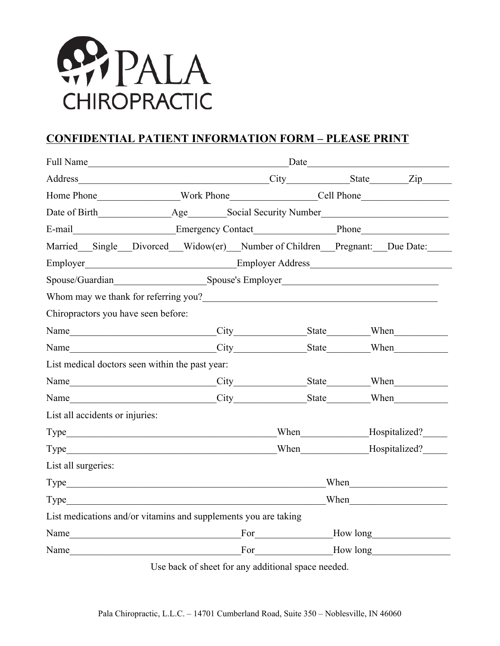

## **CONFIDENTIAL PATIENT INFORMATION FORM – PLEASE PRINT**

| Address City State Zip                                                                                                                                                                                                                |  |  |
|---------------------------------------------------------------------------------------------------------------------------------------------------------------------------------------------------------------------------------------|--|--|
|                                                                                                                                                                                                                                       |  |  |
| Date of Birth Age Social Security Number                                                                                                                                                                                              |  |  |
|                                                                                                                                                                                                                                       |  |  |
| Married Single Divorced Widow(er) Number of Children Pregnant: Due Date:                                                                                                                                                              |  |  |
| Employer<br>Employer Address                                                                                                                                                                                                          |  |  |
|                                                                                                                                                                                                                                       |  |  |
| Whom may we thank for referring you?<br><u>Letting</u> you and the set of the set of the set of the set of the set of the set of the set of the set of the set of the set of the set of the set of the set of the set of the set of t |  |  |
| Chiropractors you have seen before:                                                                                                                                                                                                   |  |  |
|                                                                                                                                                                                                                                       |  |  |
|                                                                                                                                                                                                                                       |  |  |
| List medical doctors seen within the past year:                                                                                                                                                                                       |  |  |
|                                                                                                                                                                                                                                       |  |  |
|                                                                                                                                                                                                                                       |  |  |
| List all accidents or injuries:                                                                                                                                                                                                       |  |  |
| Type Hospitalized?                                                                                                                                                                                                                    |  |  |
|                                                                                                                                                                                                                                       |  |  |
| List all surgeries:                                                                                                                                                                                                                   |  |  |
| Type When When                                                                                                                                                                                                                        |  |  |
| Type When When                                                                                                                                                                                                                        |  |  |
| List medications and/or vitamins and supplements you are taking                                                                                                                                                                       |  |  |
| Name <del>Row Long</del> Ever How long <u>How long</u>                                                                                                                                                                                |  |  |
| Name For How long                                                                                                                                                                                                                     |  |  |

Use back of sheet for any additional space needed.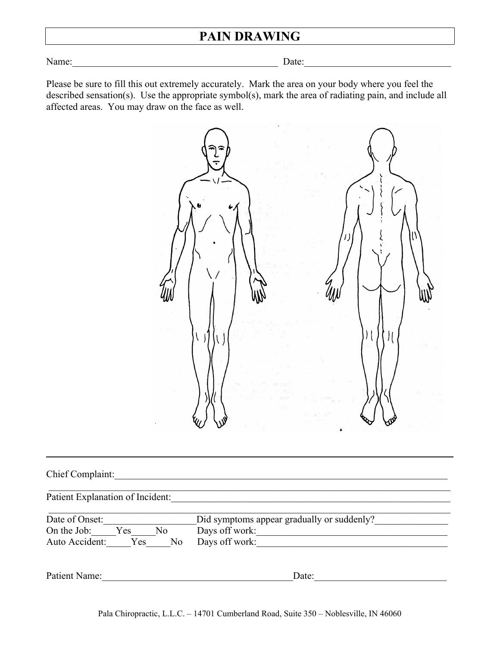# **PAIN DRAWING**

Name:\_\_\_\_\_\_\_\_\_\_\_\_\_\_\_\_\_\_\_\_\_\_\_\_\_\_\_\_\_\_\_\_\_\_\_\_\_\_\_\_\_\_ Date:\_\_\_\_\_\_\_\_\_\_\_\_\_\_\_\_\_\_\_\_\_\_\_\_\_\_\_\_\_\_

Please be sure to fill this out extremely accurately. Mark the area on your body where you feel the described sensation(s). Use the appropriate symbol(s), mark the area of radiating pain, and include all affected areas. You may draw on the face as well.



| $C$ hief<br>Complaint: |  |  |  |
|------------------------|--|--|--|
|                        |  |  |  |
|                        |  |  |  |
|                        |  |  |  |
|                        |  |  |  |

Patient Explanation of Incident:\_\_\_\_\_\_\_\_\_\_\_\_\_\_\_\_\_\_\_\_\_\_\_\_\_\_\_\_\_\_\_\_\_\_\_\_\_\_\_\_\_\_\_\_\_\_\_\_\_\_\_\_\_\_\_\_\_

| Date of Onset: |      |    | Did symptoms appear gradually or suddenly? |
|----------------|------|----|--------------------------------------------|
| On the Job:    | Y es | No | Days off work:                             |
| Auto Accident: | Yes. | No | Days off work:                             |

Patient Name:\_\_\_\_\_\_\_\_\_\_\_\_\_\_\_\_\_\_\_\_\_\_\_\_\_\_\_\_\_\_\_\_\_\_\_\_\_\_\_Date:\_\_\_\_\_\_\_\_\_\_\_\_\_\_\_\_\_\_\_\_\_\_\_\_\_\_\_

\_\_\_\_\_\_\_\_\_\_\_\_\_\_\_\_\_\_\_\_\_\_\_\_\_\_\_\_\_\_\_\_\_\_\_\_\_\_\_\_\_\_\_\_\_\_\_\_\_\_\_\_\_\_\_\_\_\_\_\_\_\_\_\_\_\_\_\_\_\_\_\_\_\_\_\_\_\_\_\_\_\_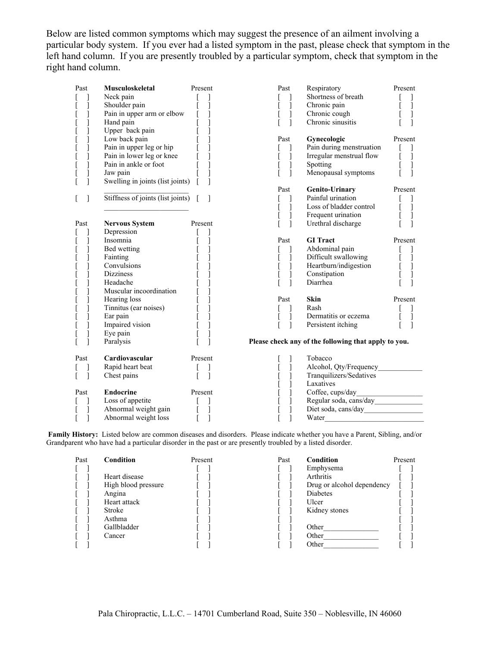Below are listed common symptoms which may suggest the presence of an ailment involving a particular body system. If you ever had a listed symptom in the past, please check that symptom in the left hand column. If you are presently troubled by a particular symptom, check that symptom in the right hand column.

| Past | Musculoskeletal                      | Present                           | Past   | Respiratory                                          | Present                              |
|------|--------------------------------------|-----------------------------------|--------|------------------------------------------------------|--------------------------------------|
|      | Neck pain                            |                                   |        | Shortness of breath                                  |                                      |
|      | Shoulder pain                        | $[\quad]$                         | 1      | Chronic pain                                         | $\mathbf{1}$                         |
|      | Pain in upper arm or elbow           | $\begin{bmatrix} 1 \end{bmatrix}$ | 1      | Chronic cough                                        | 1                                    |
|      | Hand pain                            |                                   | 1      | Chronic sinusitis                                    |                                      |
|      | Upper back pain                      |                                   |        |                                                      |                                      |
|      | Low back pain                        |                                   | Past   | Gynecologic                                          | Present                              |
|      | Pain in upper leg or hip             |                                   |        | Pain during menstruation                             |                                      |
| t    | Pain in lower leg or knee            |                                   | 1      | Irregular menstrual flow                             | $\overline{\phantom{a}}$             |
|      | Pain in ankle or foot                |                                   | 1<br>ſ | Spotting                                             | J                                    |
|      | Jaw pain                             |                                   |        | Menopausal symptoms                                  |                                      |
|      | Swelling in joints (list joints) [   |                                   |        |                                                      |                                      |
|      |                                      |                                   | Past   | Genito-Urinary                                       | Present                              |
|      | Stiffness of joints (list joints) [] |                                   |        | Painful urination                                    |                                      |
|      |                                      |                                   |        | Loss of bladder control                              | $\mathbf{I}$                         |
|      |                                      |                                   |        | Frequent urination                                   |                                      |
| Past | <b>Nervous System</b>                | Present                           | 1      | Urethral discharge                                   | Ī                                    |
|      | Depression                           |                                   |        |                                                      |                                      |
|      | Insomnia                             | $\begin{array}{c} \end{array}$    | Past   | <b>GI</b> Tract                                      | Present                              |
|      | Bed wetting                          |                                   |        | Abdominal pain                                       |                                      |
|      | Fainting                             |                                   | 1      | Difficult swallowing                                 |                                      |
|      | Convulsions                          |                                   | ]      | Heartburn/indigestion                                | $\begin{matrix} 1 \\ 1 \end{matrix}$ |
|      | <b>Dizziness</b>                     |                                   |        | Constipation                                         |                                      |
|      | Headache                             |                                   | 1      | Diarrhea                                             |                                      |
|      | Muscular incoordination              |                                   |        |                                                      |                                      |
|      | Hearing loss                         |                                   | Past   | Skin                                                 | Present                              |
|      | Tinnitus (ear noises)                |                                   |        | Rash                                                 |                                      |
|      | Ear pain                             |                                   | 1      | Dermatitis or eczema                                 | $\mathbf{I}$                         |
|      | Impaired vision                      |                                   | 1      | Persistent itching                                   |                                      |
|      | Eye pain                             |                                   |        |                                                      |                                      |
|      | Paralysis                            |                                   |        | Please check any of the following that apply to you. |                                      |
| Past | Cardiovascular                       | Present                           |        | Tobacco                                              |                                      |
|      | Rapid heart beat                     | $\Box$                            |        |                                                      |                                      |
|      | Chest pains                          | $\mathbf{I}$                      |        | Tranquilizers/Sedatives                              |                                      |
|      |                                      |                                   |        | Laxatives                                            |                                      |
| Past | <b>Endocrine</b>                     | Present                           |        |                                                      |                                      |
|      | Loss of appetite                     |                                   |        |                                                      |                                      |
|      | Abnormal weight gain                 |                                   |        |                                                      |                                      |
|      | Abnormal weight loss                 |                                   |        | Water                                                |                                      |

**Family History:**  Listed below are common diseases and disorders. Please indicate whether you have a Parent, Sibling, and/or Grandparent who have had a particular disorder in the past or are presently troubled by a listed disorder.

| Past | Condition           | Present | Past | Condition                  | Present |
|------|---------------------|---------|------|----------------------------|---------|
|      |                     |         |      | Emphysema                  |         |
|      | Heart disease       |         |      | Arthritis                  |         |
|      | High blood pressure |         |      | Drug or alcohol dependency |         |
|      | Angina              |         |      | <b>Diabetes</b>            |         |
|      | Heart attack        |         |      | Ulcer                      |         |
|      | Stroke              |         |      | Kidney stones              |         |
|      | Asthma              |         |      |                            |         |
|      | Gallbladder         |         |      | Other                      |         |
|      | Cancer              |         |      | Other                      |         |
|      |                     |         |      | Other                      |         |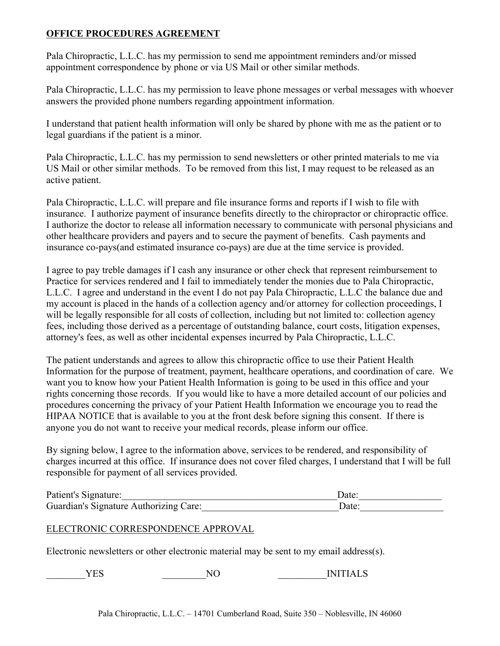#### **OFFICE PROCEDURES AGREEMENT**

Pala Chiropractic, L.L.C. has my permission to send me appointment reminders and/or missed appointment correspondence by phone or via US Mail or other similar methods.

Pala Chiropractic, L.L.C. has my permission to leave phone messages or verbal messages with whoever answers the provided phone numbers regarding appointment information.

I understand that patient health information will only be shared by phone with me as the patient or to legal guardians if the patient is a minor.

Pala Chiropractic, L.L.C. has my permission to send newsletters or other printed materials to me via US Mail or other similar methods. To be removed from this list, I may request to be released as an active patient.

Pala Chiropractic, L.L.C. will prepare and file insurance forms and reports if I wish to file with insurance. I authorize payment of insurance benefits directly to the chiropractor or chiropractic office. I authorize the doctor to release all information necessary to communicate with personal physicians and other healthcare providers and payers and to secure the payment of benefits. Cash payments and insurance co-pays(and estimated insurance co-pays) are due at the time service is provided.

I agree to pay treble damages if I cash any insurance or other check that represent reimbursement to Practice for services rendered and I fail to immediately tender the monies due to Pala Chiropractic, L.L.C. I agree and understand in the event I do not pay Pala Chiropractic, L.L.C the balance due and my account is placed in the hands of a collection agency and/or attorney for collection proceedings, I will be legally responsible for all costs of collection, including but not limited to: collection agency fees, including those derived as a percentage of outstanding balance, court costs, litigation expenses, attorney's fees, as well as other incidental expenses incurred by Pala Chiropractic, L.L.C.

The patient understands and agrees to allow this chiropractic office to use their Patient Health Information for the purpose of treatment, payment, healthcare operations, and coordination of care. We want you to know how your Patient Health Information is going to be used in this office and your rights concerning those records. If you would like to have a more detailed account of our policies and procedures concerning the privacy of your Patient Health Information we encourage you to read the HIPAA NOTICE that is available to you at the front desk before signing this consent. If there is anyone you do not want to receive your medical records, please inform our office.

By signing below, I agree to the information above, services to be rendered, and responsibility of charges incurred at this office. If insurance does not cover filed charges, I understand that I will be full responsible for payment of all services provided.

| Patient's Signature:                   | )ate: |  |
|----------------------------------------|-------|--|
| Guardian's Signature Authorizing Care: | )ate: |  |

### ELECTRONIC CORRESPONDENCE APPROVAL

Electronic newsletters or other electronic material may be sent to my email address(s).

 $YES$  NO INITIALS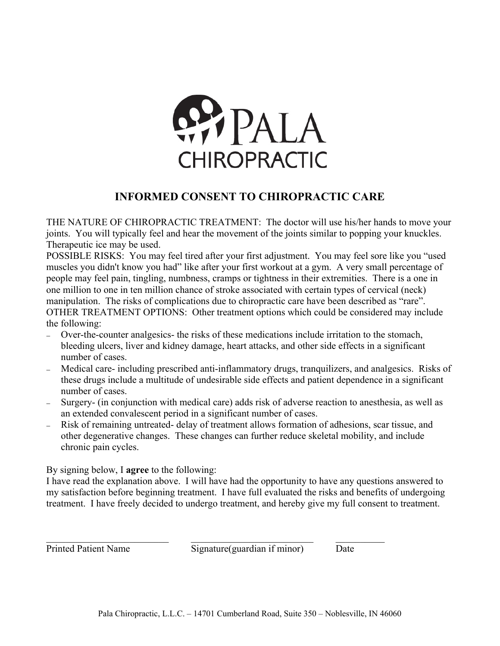

## **INFORMED CONSENT TO CHIROPRACTIC CARE**

THE NATURE OF CHIROPRACTIC TREATMENT: The doctor will use his/her hands to move your joints. You will typically feel and hear the movement of the joints similar to popping your knuckles. Therapeutic ice may be used.

POSSIBLE RISKS: You may feel tired after your first adjustment. You may feel sore like you "used muscles you didn't know you had" like after your first workout at a gym. A very small percentage of people may feel pain, tingling, numbness, cramps or tightness in their extremities. There is a one in one million to one in ten million chance of stroke associated with certain types of cervical (neck) manipulation. The risks of complications due to chiropractic care have been described as "rare". OTHER TREATMENT OPTIONS: Other treatment options which could be considered may include the following:

- Over-the-counter analgesics- the risks of these medications include irritation to the stomach, bleeding ulcers, liver and kidney damage, heart attacks, and other side effects in a significant number of cases.
- Medical care- including prescribed anti-inflammatory drugs, tranquilizers, and analgesics. Risks of these drugs include a multitude of undesirable side effects and patient dependence in a significant number of cases.
- Surgery (in conjunction with medical care) adds risk of adverse reaction to anesthesia, as well as an extended convalescent period in a significant number of cases.
- Risk of remaining untreated delay of treatment allows formation of adhesions, scar tissue, and other degenerative changes. These changes can further reduce skeletal mobility, and include chronic pain cycles.

By signing below, I **agree** to the following:

I have read the explanation above. I will have had the opportunity to have any questions answered to my satisfaction before beginning treatment. I have full evaluated the risks and benefits of undergoing treatment. I have freely decided to undergo treatment, and hereby give my full consent to treatment.

Printed Patient Name Signature(guardian if minor) Date

 $\mathcal{L}_\text{max}$  , and the set of the set of the set of the set of the set of the set of the set of the set of the set of the set of the set of the set of the set of the set of the set of the set of the set of the set of the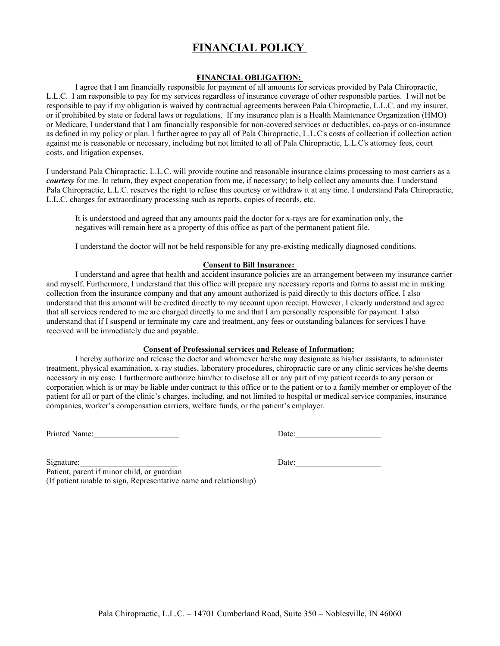## **FINANCIAL POLICY**

#### **FINANCIAL OBLIGATION:**

I agree that I am financially responsible for payment of all amounts for services provided by Pala Chiropractic, L.L.C. I am responsible to pay for my services regardless of insurance coverage of other responsible parties. I will not be responsible to pay if my obligation is waived by contractual agreements between Pala Chiropractic, L.L.C. and my insurer, or if prohibited by state or federal laws or regulations. If my insurance plan is a Health Maintenance Organization (HMO) or Medicare, I understand that I am financially responsible for non-covered services or deductibles, co-pays or co-insurance as defined in my policy or plan. I further agree to pay all of Pala Chiropractic, L.L.C's costs of collection if collection action against me is reasonable or necessary, including but not limited to all of Pala Chiropractic, L.L.C's attorney fees, court costs, and litigation expenses.

I understand Pala Chiropractic, L.L.C. will provide routine and reasonable insurance claims processing to most carriers as a *courtesy* for me. In return, they expect cooperation from me, if necessary; to help collect any amounts due. I understand Pala Chiropractic, L.L.C. reserves the right to refuse this courtesy or withdraw it at any time. I understand Pala Chiropractic, L.L.C. charges for extraordinary processing such as reports, copies of records, etc.

It is understood and agreed that any amounts paid the doctor for x-rays are for examination only, the negatives will remain here as a property of this office as part of the permanent patient file.

I understand the doctor will not be held responsible for any pre-existing medically diagnosed conditions.

#### **Consent to Bill Insurance:**

I understand and agree that health and accident insurance policies are an arrangement between my insurance carrier and myself. Furthermore, I understand that this office will prepare any necessary reports and forms to assist me in making collection from the insurance company and that any amount authorized is paid directly to this doctors office. I also understand that this amount will be credited directly to my account upon receipt. However, I clearly understand and agree that all services rendered to me are charged directly to me and that I am personally responsible for payment. I also understand that if I suspend or terminate my care and treatment, any fees or outstanding balances for services I have received will be immediately due and payable.

#### **Consent of Professional services and Release of Information:**

I hereby authorize and release the doctor and whomever he/she may designate as his/her assistants, to administer treatment, physical examination, x-ray studies, laboratory procedures, chiropractic care or any clinic services he/she deems necessary in my case. I furthermore authorize him/her to disclose all or any part of my patient records to any person or corporation which is or may be liable under contract to this office or to the patient or to a family member or employer of the patient for all or part of the clinic's charges, including, and not limited to hospital or medical service companies, insurance companies, worker's compensation carriers, welfare funds, or the patient's employer.

Printed Name:\_\_\_\_\_\_\_\_\_\_\_\_\_\_\_\_\_\_\_\_\_ Date:\_\_\_\_\_\_\_\_\_\_\_\_\_\_\_\_\_\_\_\_\_

Patient, parent if minor child, or guardian (If patient unable to sign, Representative name and relationship)

Signature:\_\_\_\_\_\_\_\_\_\_\_\_\_\_\_\_\_\_\_\_\_\_\_\_ Date:\_\_\_\_\_\_\_\_\_\_\_\_\_\_\_\_\_\_\_\_\_